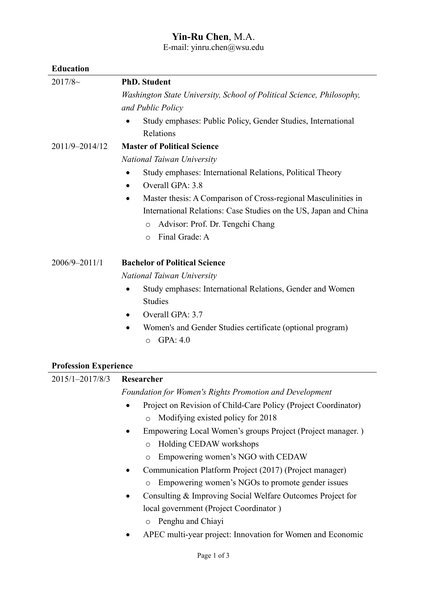## **Yin-Ru Chen**, M.A.

E-mail: yinru.chen@wsu.edu

# **Education**

| 2017/8~                      | <b>PhD.</b> Student                                                                        |
|------------------------------|--------------------------------------------------------------------------------------------|
|                              | Washington State University, School of Political Science, Philosophy,<br>and Public Policy |
|                              | Study emphases: Public Policy, Gender Studies, International<br>$\bullet$                  |
|                              | Relations                                                                                  |
| 2011/9-2014/12               | <b>Master of Political Science</b>                                                         |
|                              | National Taiwan University                                                                 |
|                              | Study emphases: International Relations, Political Theory<br>$\bullet$                     |
|                              | Overall GPA: 3.8<br>$\bullet$                                                              |
|                              | Master thesis: A Comparison of Cross-regional Masculinities in<br>$\bullet$                |
|                              | International Relations: Case Studies on the US, Japan and China                           |
|                              | Advisor: Prof. Dr. Tengchi Chang<br>$\circ$                                                |
|                              | Final Grade: A<br>O                                                                        |
| 2006/9-2011/1                | <b>Bachelor of Political Science</b>                                                       |
|                              | National Taiwan University                                                                 |
|                              | Study emphases: International Relations, Gender and Women<br>$\bullet$                     |
|                              | Studies                                                                                    |
|                              | Overall GPA: 3.7<br>٠                                                                      |
|                              | Women's and Gender Studies certificate (optional program)<br>٠                             |
|                              | GPA: 4.0<br>O                                                                              |
| <b>Profession Experience</b> |                                                                                            |
| 2015/1-2017/8/3              | Researcher                                                                                 |
|                              | <b>Foundation for Women's Rights Promotion and Development</b>                             |
|                              | Project on Revision of Child-Care Policy (Project Coordinator)<br>$\bullet$                |
|                              | Modifying existed policy for 2018<br>$\circ$                                               |
|                              | Empowering Local Women's groups Project (Project manager.)<br>$\bullet$                    |
|                              | Holding CEDAW workshops<br>$\circ$                                                         |
|                              | Empowering women's NGO with CEDAW<br>$\circ$                                               |
|                              | Communication Platform Project (2017) (Project manager)<br>$\bullet$                       |
|                              | Empowering women's NGOs to promote gender issues<br>O                                      |
|                              | Consulting & Improving Social Welfare Outcomes Project for<br>$\bullet$                    |
|                              | local government (Project Coordinator)                                                     |
|                              | Penghu and Chiayi<br>$\circ$                                                               |
|                              | APEC multi-year project: Innovation for Women and Economic                                 |
|                              |                                                                                            |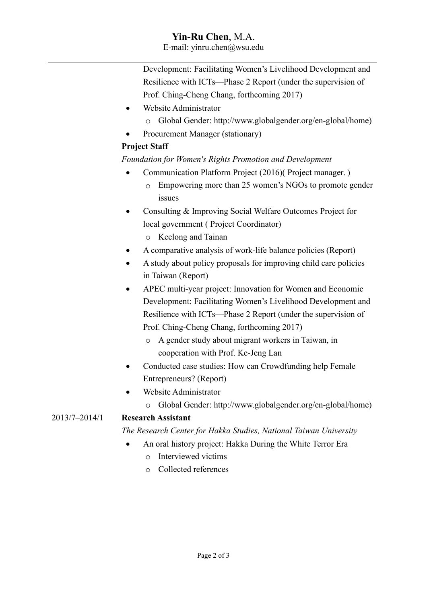### **Yin-Ru Chen**, M.A.

E-mail: yinru.chen@wsu.edu

Development: Facilitating Women's Livelihood Development and Resilience with ICTs—Phase 2 Report (under the supervision of Prof. Ching-Cheng Chang, forthcoming 2017)

- Website Administrator
	- o Global Gender: http://www.globalgender.org/en-global/home)
- Procurement Manager (stationary)

#### **Project Staff**

#### *Foundation for Women's Rights Promotion and Development*

- Communication Platform Project (2016)( Project manager. )
	- o Empowering more than 25 women's NGOs to promote gender issues
- Consulting & Improving Social Welfare Outcomes Project for local government ( Project Coordinator)
	- o Keelong and Tainan
- A comparative analysis of work-life balance policies (Report)
- A study about policy proposals for improving child care policies in Taiwan (Report)
- APEC multi-year project: Innovation for Women and Economic Development: Facilitating Women's Livelihood Development and Resilience with ICTs—Phase 2 Report (under the supervision of Prof. Ching-Cheng Chang, forthcoming 2017)
	- o A gender study about migrant workers in Taiwan, in cooperation with Prof. Ke-Jeng Lan
- Conducted case studies: How can Crowdfunding help Female Entrepreneurs? (Report)
- Website Administrator
	- o Global Gender: http://www.globalgender.org/en-global/home)

#### 2013/7–2014/1 **Research Assistant**

#### *The Research Center for Hakka Studies, National Taiwan University*

- An oral history project: Hakka During the White Terror Era
	- o Interviewed victims
	- o Collected references